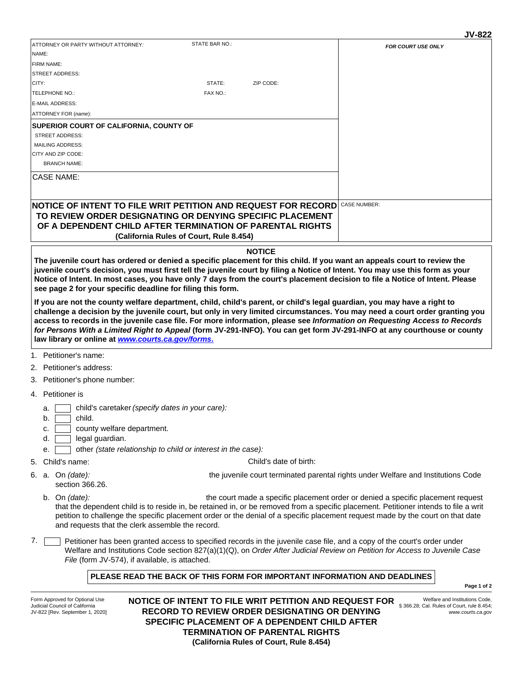|                                                                                                                                                                                                                                                           |                                         |               | JY-ULL                    |
|-----------------------------------------------------------------------------------------------------------------------------------------------------------------------------------------------------------------------------------------------------------|-----------------------------------------|---------------|---------------------------|
| ATTORNEY OR PARTY WITHOUT ATTORNEY:                                                                                                                                                                                                                       | STATE BAR NO.:                          |               | <b>FOR COURT USE ONLY</b> |
| NAME:                                                                                                                                                                                                                                                     |                                         |               |                           |
| <b>FIRM NAME:</b>                                                                                                                                                                                                                                         |                                         |               |                           |
| <b>ISTREET ADDRESS:</b>                                                                                                                                                                                                                                   |                                         |               |                           |
| ICITY:                                                                                                                                                                                                                                                    | STATE:                                  | ZIP CODE:     |                           |
| <b>TELEPHONE NO.:</b>                                                                                                                                                                                                                                     | FAX NO.:                                |               |                           |
| <b>E-MAIL ADDRESS:</b>                                                                                                                                                                                                                                    |                                         |               |                           |
| ATTORNEY FOR (name):                                                                                                                                                                                                                                      |                                         |               |                           |
| <b>SUPERIOR COURT OF CALIFORNIA, COUNTY OF</b>                                                                                                                                                                                                            |                                         |               |                           |
| <b>STREET ADDRESS:</b>                                                                                                                                                                                                                                    |                                         |               |                           |
| <b>MAILING ADDRESS:</b>                                                                                                                                                                                                                                   |                                         |               |                           |
| <b>ICITY AND ZIP CODE:</b>                                                                                                                                                                                                                                |                                         |               |                           |
| <b>BRANCH NAME:</b>                                                                                                                                                                                                                                       |                                         |               |                           |
| CASE NAME:                                                                                                                                                                                                                                                |                                         |               |                           |
|                                                                                                                                                                                                                                                           |                                         |               |                           |
| INOTICE OF INTENT TO FILE WRIT PETITION AND REQUEST FOR RECORDI                                                                                                                                                                                           |                                         |               | <b>CASE NUMBER:</b>       |
| TO REVIEW ORDER DESIGNATING OR DENYING SPECIFIC PLACEMENT                                                                                                                                                                                                 |                                         |               |                           |
| OF A DEPENDENT CHILD AFTER TERMINATION OF PARENTAL RIGHTS                                                                                                                                                                                                 |                                         |               |                           |
|                                                                                                                                                                                                                                                           | (California Rules of Court, Rule 8.454) |               |                           |
|                                                                                                                                                                                                                                                           |                                         | <b>NOTICE</b> |                           |
| The juvenile court has ordered or denied a specific placement for this child. If you want an appeals court to review the<br>juvenile court's decision, you must first tell the juvenile court by filing a Notice of Intent. You may use this form as your |                                         |               |                           |

**Notice of Intent. In most cases, you have only 7 days from the court's placement decision to file a Notice of Intent. Please see page 2 for your specific deadline for filing this form. If you are not the county welfare department, child, child's parent, or child's legal guardian, you may have a right to** 

**challenge a decision by the juvenile court, but only in very limited circumstances. You may need a court order granting you access to records in the juvenile case file. For more information, please see** *Information on Requesting Access to Records for Persons With a Limited Right to Appeal* **(form JV-291-INFO). You can get form JV-291-INFO at any courthouse or county law library or online at** *[www.courts.ca.gov/forms](http://www.courts.ca.gov/forms)***[.](http://www.courts.ca.gov/forms)**

- 1. Petitioner's name:
- 2. Petitioner's address:
- 3. Petitioner's phone number:
- 4. Petitioner is
	- a. child's caretaker *(specify dates in your care):*
	- b. child.
	- c. county welfare department.
	- d. legal guardian.
	- e. other *(state relationship to child or interest in the case):*
- 5. Child's name:

Child's date of birth:

section 366.26. 6. a. On *(date):* 

the juvenile court terminated parental rights under Welfare and Institutions Code

- the court made a specific placement order or denied a specific placement request that the dependent child is to reside in, be retained in, or be removed from a specific placement. Petitioner intends to file a writ petition to challenge the specific placement order or the denial of a specific placement request made by the court on that date and requests that the clerk assemble the record. On *(date):*  b.
- 7. Petitioner has been granted access to specified records in the juvenile case file, and a copy of the court's order under Welfare and Institutions Code section 827(a)(1)(Q), on *Order After Judicial Review on Petition for Access to Juvenile Case File* (form JV-574), if available, is attached.

#### **PLEASE READ THE BACK OF THIS FORM FOR IMPORTANT INFORMATION AND DEADLINES**

**Page 1 of 2**

**JV** 822

Form Approved for Optional Use Judicial Council of California JV-822 [Rev. September 1, 2020] **NOTICE OF INTENT TO FILE WRIT PETITION AND REQUEST FOR RECORD TO REVIEW ORDER DESIGNATING OR DENYING SPECIFIC PLACEMENT OF A DEPENDENT CHILD AFTER TERMINATION OF PARENTAL RIGHTS (California Rules of Court, Rule 8.454)**

Welfare and Institutions Code, § 366.28; Cal. Rules of Court, rule 8.454; *www.courts.ca.gov*